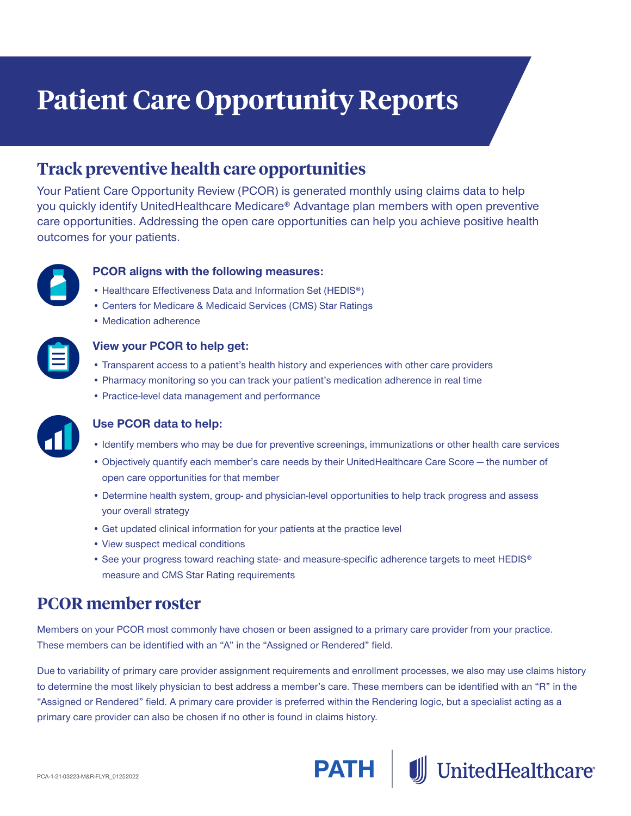# **Patient Care Opportunity Reports**

### **Track preventive health care opportunities**

Your Patient Care Opportunity Review (PCOR) is generated monthly using claims data to help you quickly identify UnitedHealthcare Medicare® Advantage plan members with open preventive care opportunities. Addressing the open care opportunities can help you achieve positive health outcomes for your patients.



#### **PCOR aligns with the following measures:**

- Healthcare Effectiveness Data and Information Set (HEDIS®)
- Centers for Medicare & Medicaid Services (CMS) Star Ratings
- Medication adherence



#### **View your PCOR to help get:**

- Transparent access to a patient's health history and experiences with other care providers
- Pharmacy monitoring so you can track your patient's medication adherence in real time
- Practice-level data management and performance



#### **Use PCOR data to help:**

- Identify members who may be due for preventive screenings, immunizations or other health care services
- Objectively quantify each member's care needs by their UnitedHealthcare Care Score the number of open care opportunities for that member
- Determine health system, group- and physician-level opportunities to help track progress and assess your overall strategy
- Get updated clinical information for your patients at the practice level
- View suspect medical conditions
- See your progress toward reaching state- and measure-specific adherence targets to meet HEDIS® measure and CMS Star Rating requirements

### **PCOR member roster**

Members on your PCOR most commonly have chosen or been assigned to a primary care provider from your practice. These members can be identified with an "A" in the "Assigned or Rendered" field.

Due to variability of primary care provider assignment requirements and enrollment processes, we also may use claims history to determine the most likely physician to best address a member's care. These members can be identified with an "R" in the "Assigned or Rendered" field. A primary care provider is preferred within the Rendering logic, but a specialist acting as a primary care provider can also be chosen if no other is found in claims history.



UnitedHealthcare®

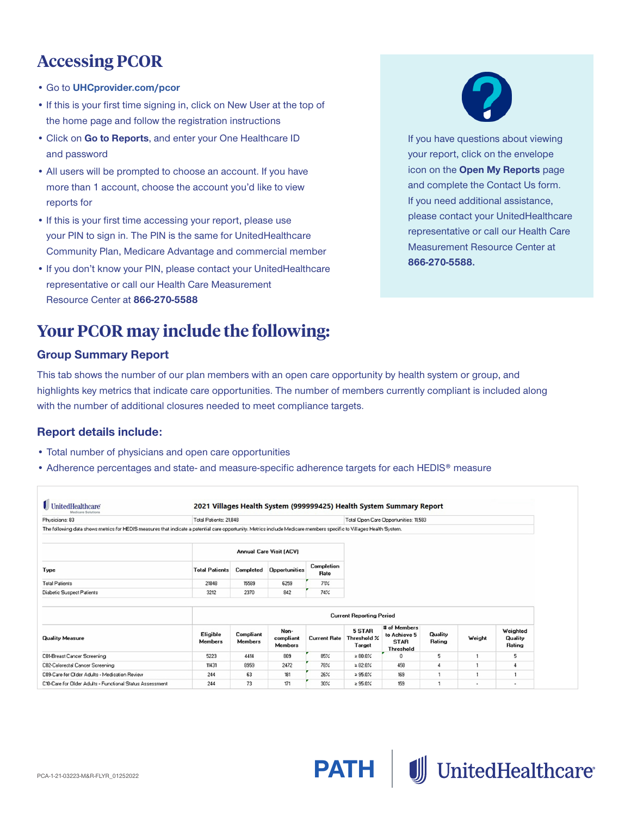# **Accessing PCOR**

- Go to **[UHCprovider.com/pcor](https://www.uhcprovider.com/en/reports-quality-programs/physician-perf-based-comp.html?CID=none)**
- If this is your first time signing in, click on New User at the top of the home page and follow the registration instructions
- Click on **Go to Reports**, and enter your One Healthcare ID and password
- All users will be prompted to choose an account. If you have more than 1 account, choose the account you'd like to view reports for
- If this is your first time accessing your report, please use your PIN to sign in. The PIN is the same for UnitedHealthcare Community Plan, Medicare Advantage and commercial member
- If you don't know your PIN, please contact your UnitedHealthcare representative or call our Health Care Measurement Resource Center at **866‑270‑5588**

## **Your PCOR may include the following:**

#### **Group Summary Report**

This tab shows the number of our plan members with an open care opportunity by health system or group, and highlights key metrics that indicate care opportunities. The number of members currently compliant is included along with the number of additional closures needed to meet compliance targets.

#### **Report details include:**

l

- Total number of physicians and open care opportunities
- Adherence percentages and state- and measure-specific adherence targets for each HEDIS<sup>®</sup> measure

| <b>UnitedHealthcare</b><br>Medicare Solutions                                                                                                                        | 2021 Villages Health System (999999425) Health System Summary Report |                      |                                |                           |                                       |                                                          |                   |        |                               |  |
|----------------------------------------------------------------------------------------------------------------------------------------------------------------------|----------------------------------------------------------------------|----------------------|--------------------------------|---------------------------|---------------------------------------|----------------------------------------------------------|-------------------|--------|-------------------------------|--|
| Physicians: 83                                                                                                                                                       | Total Patients: 21.848                                               |                      |                                |                           | Total Open Care Opportunities: 11,583 |                                                          |                   |        |                               |  |
| The following data shows metrics for HEDIS measures that indicate a potential care opportunity. Metrics include Medicare members specific to Villages Health System. |                                                                      |                      |                                |                           |                                       |                                                          |                   |        |                               |  |
|                                                                                                                                                                      |                                                                      |                      | <b>Annual Care Visit (ACV)</b> |                           |                                       |                                                          |                   |        |                               |  |
| Type                                                                                                                                                                 | <b>Total Patients</b>                                                | Completed            | Opportunities                  | Completion<br><b>Rate</b> |                                       |                                                          |                   |        |                               |  |
| <b>Total Patients</b>                                                                                                                                                | 21848                                                                | 15599                | 6259                           | $7\%$                     |                                       |                                                          |                   |        |                               |  |
| Diabetic Suspect Patients                                                                                                                                            | 3212                                                                 | 2370                 | 842                            | 74%                       |                                       |                                                          |                   |        |                               |  |
|                                                                                                                                                                      |                                                                      |                      |                                |                           | <b>Current Reporting Period</b>       |                                                          |                   |        |                               |  |
|                                                                                                                                                                      |                                                                      |                      |                                |                           |                                       |                                                          |                   |        |                               |  |
| <b>Quality Measure</b>                                                                                                                                               | Eligible<br>Members                                                  | Compliant<br>Members | Non-<br>compliant<br>Members   | <b>Current Rate</b>       | 5 STAR<br>Threshold %<br>Target       | # of Members<br>to Achieve 5<br><b>STAR</b><br>Threshold | Quality<br>Rating | Weight | Weighted<br>Quality<br>Rating |  |
| C01-Breast Cancer Screening                                                                                                                                          | 5223                                                                 | 4414                 | 809                            | 85%                       | $\geq 80.0\%$                         | 0                                                        | 5                 |        | 5                             |  |
| C02-Colorectal Cancer Screening                                                                                                                                      | 11431                                                                | 8959                 | 2472                           | 78%                       | >82.0%                                | 458                                                      | 4                 |        |                               |  |
| C09-Care for Clider Adults - Medication Review                                                                                                                       | 244                                                                  | 63                   | 181                            | 26%                       | $>$ 95.0%                             | 169                                                      |                   |        |                               |  |
| C10-Care for Older Adults - Functional Status Assessment                                                                                                             | 244                                                                  | 73                   | 171                            | 30%                       | $\ge$ 95.0%                           | 159                                                      | 1                 |        | $\overline{\phantom{a}}$      |  |

J UnitedHealthcare



If you have questions about viewing your report, click on the envelope icon on the **Open My Reports** page and complete the Contact Us form. If you need additional assistance, please contact your UnitedHealthcare representative or call our Health Care Measurement Resource Center at **866-270-5588.**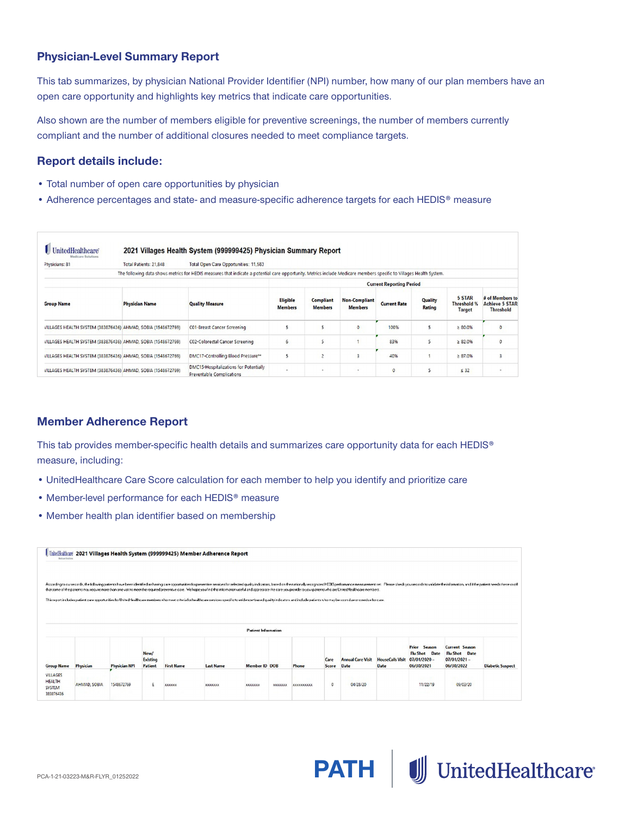#### **Physician-Level Summary Report**

This tab summarizes, by physician National Provider Identifier (NPI) number, how many of our plan members have an open care opportunity and highlights key metrics that indicate care opportunities.

Also shown are the number of members eligible for preventive screenings, the number of members currently compliant and the number of additional closures needed to meet compliance targets.

#### **Report details include:**

- Total number of open care opportunities by physician
- Adherence percentages and state- and measure-specific adherence targets for each HEDIS® measure

| Physicians: 81                                               | Total Patients: 21,848 | Total Open Care Opportunities: 11,583                                                                                                                                |                            |                                    |                                        |                                 |                   |                                 |                                                              |
|--------------------------------------------------------------|------------------------|----------------------------------------------------------------------------------------------------------------------------------------------------------------------|----------------------------|------------------------------------|----------------------------------------|---------------------------------|-------------------|---------------------------------|--------------------------------------------------------------|
|                                                              |                        | The following data shows metrics for HEDIS measures that indicate a potential care opportunity. Metrics include Medicare members specific to Villages Health System. |                            |                                    |                                        |                                 |                   |                                 |                                                              |
|                                                              |                        |                                                                                                                                                                      |                            |                                    |                                        | <b>Current Reporting Period</b> |                   |                                 |                                                              |
| <b>Group Name</b>                                            | <b>Physician Name</b>  | <b>Quality Measure</b>                                                                                                                                               | Eligible<br><b>Members</b> | <b>Compliant</b><br><b>Members</b> | <b>Non-Compliant</b><br><b>Members</b> | <b>Current Rate</b>             | Quality<br>Rating | 5 STAR<br>Threshold %<br>Target | # of Members to<br><b>Achieve 5 STAR</b><br><b>Threshold</b> |
| VILLAGES HEALTH SYSTEM (383876436) AHMAD, SOBIA (1548672769) |                        | CO1-Breast Cancer Screening                                                                                                                                          | 5                          |                                    | $\circ$                                | 100%                            | 5                 | &80.0%                          | $\circ$                                                      |
| VILLAGES HEALTH SYSTEM (383876436) AHMAD, SOBIA (1548672769) |                        | C02-Colorectal Cancer Screening                                                                                                                                      | 6                          |                                    |                                        | 83%                             | 5                 | $\geq 82.0\%$                   | $\circ$                                                      |
| VILLAGES HEALTH SYSTEM (383876436) AHMAD, SOBIA (1548672769) |                        | DMC17-Controlling Blood Pressure**                                                                                                                                   | 5                          |                                    | 3                                      | 40%                             |                   | $\geq 87.0\%$                   | $\overline{\phantom{a}}$                                     |
| VILLAGES HEALTH SYSTEM (383876436) AHMAD, SOBIA (1548672769) |                        | DMC15-Hospitalizations for Potentially<br>Preventable Complications                                                                                                  | $\overline{\phantom{a}}$   |                                    | $\sim$                                 | $\circ$                         | $\mathsf{S}$      | $\leq$ 32                       | $\mathbf{r}$                                                 |

#### **Member Adherence Report**

This tab provides member-specific health details and summarizes care opportunity data for each HEDIS® measure, including:

- UnitedHealthcare Care Score calculation for each member to help you identify and prioritize care
- Member-level performance for each HEDIS® measure
- Member health plan identifier based on membership

| <b>Midson Solution</b>                                  |              |                      |                             |                   | Urilediathard 2021 Villages Health System (999999425) Member Adherence Report                                                                                                                                                                                                                                                                                                                                                                                    |                            |         |                   |               |                                  |                                 |                                                               |                                                                 |                         |
|---------------------------------------------------------|--------------|----------------------|-----------------------------|-------------------|------------------------------------------------------------------------------------------------------------------------------------------------------------------------------------------------------------------------------------------------------------------------------------------------------------------------------------------------------------------------------------------------------------------------------------------------------------------|----------------------------|---------|-------------------|---------------|----------------------------------|---------------------------------|---------------------------------------------------------------|-----------------------------------------------------------------|-------------------------|
|                                                         |              |                      |                             |                   | Association test and the following patients have been identified as having one opportunities for preventive semices for selected quality industors, based on the nationaly recognized HELTS performence measurement set. Pleas<br>that some of the patients may require more than one visit to meet the required preventive care. Me hope you indit is information useful and appreciate the care you provide to you patients who are United Healthcare members. |                            |         |                   |               |                                  |                                 |                                                               |                                                                 |                         |
|                                                         |              |                      |                             |                   | This report includes patient care opportunities for this diffeolie and members who meet criterial confederations specific to evidence-based quality indicators and include patients who may be soon due or coerdue for care.                                                                                                                                                                                                                                     |                            |         |                   |               |                                  |                                 |                                                               |                                                                 |                         |
|                                                         |              |                      |                             |                   |                                                                                                                                                                                                                                                                                                                                                                                                                                                                  | <b>Patient Information</b> |         |                   |               |                                  |                                 |                                                               |                                                                 |                         |
| <b>Group Name</b>                                       | Physician    | <b>Physician NPI</b> | New/<br>Existing<br>Patient | <b>First Name</b> | <b>Last Name</b>                                                                                                                                                                                                                                                                                                                                                                                                                                                 | Member ID DOB              |         | Phone             | Care<br>Score | <b>Annual Care Visit</b><br>Date | <b>HouseCalls Visit</b><br>Date | Prior Season<br>Flu Shot Date<br>$07/01/2020 -$<br>06/30/2021 | Current Season<br>Flu Shot Date<br>$07/01/2021 -$<br>06/30/2022 | <b>Diabetic Suspect</b> |
| VILLAGES<br><b>HEALTH</b><br><b>SYSTEM</b><br>383876436 | AHMAD, SOBIA | 1548672769           | ٤                           | <b>XXXXXX</b>     | XIIIIXX                                                                                                                                                                                                                                                                                                                                                                                                                                                          | XXXXXXX                    | XXXXXXX | <b>KKXXXXXXXX</b> | 0             | 04/28/20                         |                                 | 11/22/19                                                      | 09/03/20                                                        |                         |